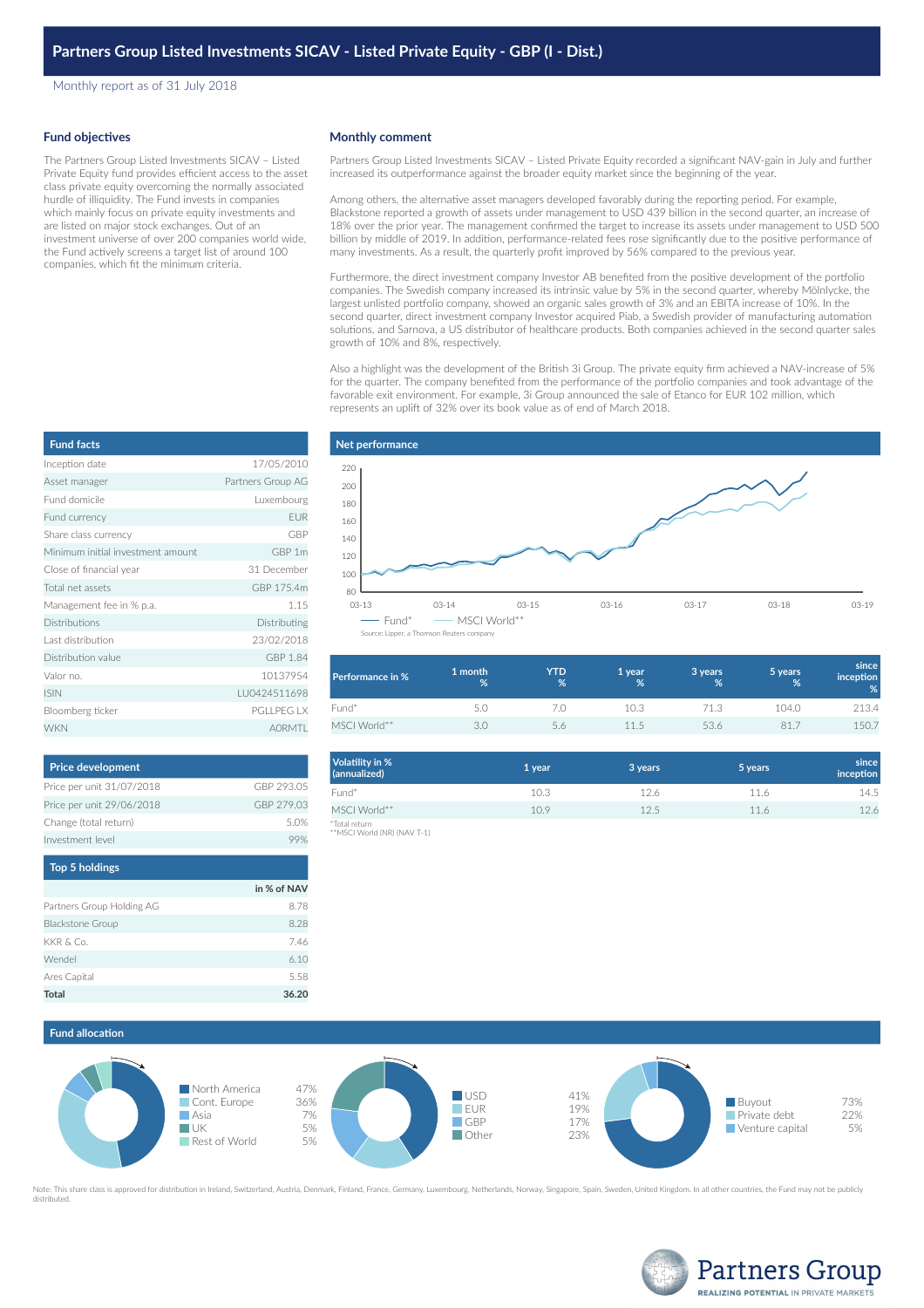Monthly report as of 31 July 2018

#### **Fund objectives**

The Partners Group Listed Investments SICAV – Listed Private Equity fund provides efficient access to the asset class private equity overcoming the normally associated hurdle of illiquidity. The Fund invests in companies which mainly focus on private equity investments and are listed on major stock exchanges. Out of an investment universe of over 200 companies world wide, the Fund actively screens a target list of around 100 companies, which fit the minimum criteria.

## **Monthly comment**

Partners Group Listed Investments SICAV – Listed Private Equity recorded a significant NAV-gain in July and further increased its outperformance against the broader equity market since the beginning of the year.

Among others, the alternative asset managers developed favorably during the reporting period. For example, Blackstone reported a growth of assets under management to USD 439 billion in the second quarter, an increase of 18% over the prior year. The management confirmed the target to increase its assets under management to USD 500 billion by middle of 2019. In addition, performance-related fees rose significantly due to the positive performance of many investments. As a result, the quarterly profit improved by 56% compared to the previous year.

Furthermore, the direct investment company Investor AB benefited from the positive development of the portfolio companies. The Swedish company increased its intrinsic value by 5% in the second quarter, whereby Mölnlycke, the largest unlisted portfolio company, showed an organic sales growth of 3% and an EBITA increase of 10%. In the second quarter, direct investment company Investor acquired Piab, a Swedish provider of manufacturing automation solutions, and Sarnova, a US distributor of healthcare products. Both companies achieved in the second quarter sales growth of 10% and 8%, respectively.

Also a highlight was the development of the British 3i Group. The private equity firm achieved a NAV-increase of 5% for the quarter. The company benefited from the performance of the portfolio companies and took advantage of the favorable exit environment. For example, 3i Group announced the sale of Etanco for EUR 102 million, which represents an uplift of 32% over its book value as of end of March 2018.

| <b>Fund facts</b>                 |                   |
|-----------------------------------|-------------------|
| Inception date                    | 17/05/2010        |
| Asset manager                     | Partners Group AG |
| Eund domicile                     | Luxembourg        |
| Fund currency                     | <b>EUR</b>        |
| Share class currency              | GBP               |
| Minimum initial investment amount | GBP 1m            |
| Close of financial year           | 31 December       |
| Total net assets                  | GBP 175.4m        |
| Management fee in % p.a.          | 1.15              |
| Distributions                     | Distributing      |
| Last distribution                 | 23/02/2018        |
| Distribution value                | GBP 1.84          |
| Valor no.                         | 10137954          |
| <b>ISIN</b>                       | LU0424511698      |
| Bloomberg ticker                  | <b>PGLLPEG LX</b> |
| <b>WKN</b>                        | <b>AORMTI</b>     |

| <b>Price development</b>  |             |
|---------------------------|-------------|
| Price per unit 31/07/2018 | GBP 293.05  |
| Price per unit 29/06/2018 | GBP 279.03  |
| Change (total return)     | 5.0%        |
| Investment level          | 99%         |
| <b>Top 5 holdings</b>     |             |
|                           | in % of NAV |
| Partners Group Holding AG | 8.78        |
| <b>Blackstone Group</b>   | 8.28        |
| KKR & Co.                 | 7.46        |
| Wendel                    | 6.10        |
|                           |             |

**Total 36.20**

## **Net performance** 03-13 03-14 03-15 03-16 03-17 03-18 03-19  $80$ 100 120 140 160 180 200 220  $-$  Fund\*  $-$  MSCI World\*\* Source: Lipper, a Thomson Reuters com

| Performance in % | 1 month<br>% | <b>YTD</b><br>% | 1 year<br>% | 3 years<br>% | 5 years<br>% | since<br><i>inception</i><br>% |
|------------------|--------------|-----------------|-------------|--------------|--------------|--------------------------------|
| Fund*            |              |                 | 10.3        | 71.3         | 104.0        | 213.4                          |
| MSCI World**     |              |                 | 115         | 53.6         | 81.7         | 150.7                          |

| Volatility in %<br>(annualized) | 1 year | 3 years | 5 years | since<br>inception |
|---------------------------------|--------|---------|---------|--------------------|
| Fund*                           | 10.3   | 12.6    | 11.6    | 14.5               |
| MSCI World**                    | 10.9   | 12.5    | 116     | 12.6               |
| *Total return                   |        |         |         |                    |

\*Total return \*\*MSCI World (NR) (NAV T-1)



Note: This share class is approved for distribution in Ireland, Switzerland, Austria, Denmark, Finland, France, Germany, Luxembourg, Netherlands, Norway, Singapore, Spain, Sweden, United Kingdom. In all other countries, th



# **Fund allocation**